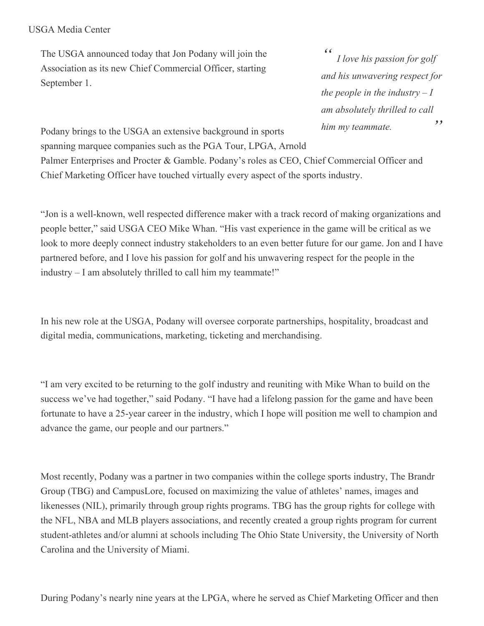## USGA Media Center

The USGA announced today that Jon Podany will join the Association as its new Chief Commercial Officer, starting September 1.

*" " I love his passion for golf and his unwavering respect for the people in the industry*  $-I$ *am absolutely thrilled to call him my teammate.*

Podany brings to the USGA an extensive background in sports spanning marquee companies such as the PGA Tour, LPGA, Arnold

Palmer Enterprises and Procter & Gamble. Podany's roles as CEO, Chief Commercial Officer and Chief Marketing Officer have touched virtually every aspect of the sports industry.

"Jon is a well-known, well respected difference maker with a track record of making organizations and people better," said USGA CEO Mike Whan. "His vast experience in the game will be critical as we look to more deeply connect industry stakeholders to an even better future for our game. Jon and I have partnered before, and I love his passion for golf and his unwavering respect for the people in the industry – I am absolutely thrilled to call him my teammate!"

In his new role at the USGA, Podany will oversee corporate partnerships, hospitality, broadcast and digital media, communications, marketing, ticketing and merchandising.

"I am very excited to be returning to the golf industry and reuniting with Mike Whan to build on the success we've had together," said Podany. "I have had a lifelong passion for the game and have been fortunate to have a 25-year career in the industry, which I hope will position me well to champion and advance the game, our people and our partners."

Most recently, Podany was a partner in two companies within the college sports industry, The Brandr Group (TBG) and CampusLore, focused on maximizing the value of athletes' names, images and likenesses (NIL), primarily through group rights programs. TBG has the group rights for college with the NFL, NBA and MLB players associations, and recently created a group rights program for current student-athletes and/or alumni at schools including The Ohio State University, the University of North Carolina and the University of Miami.